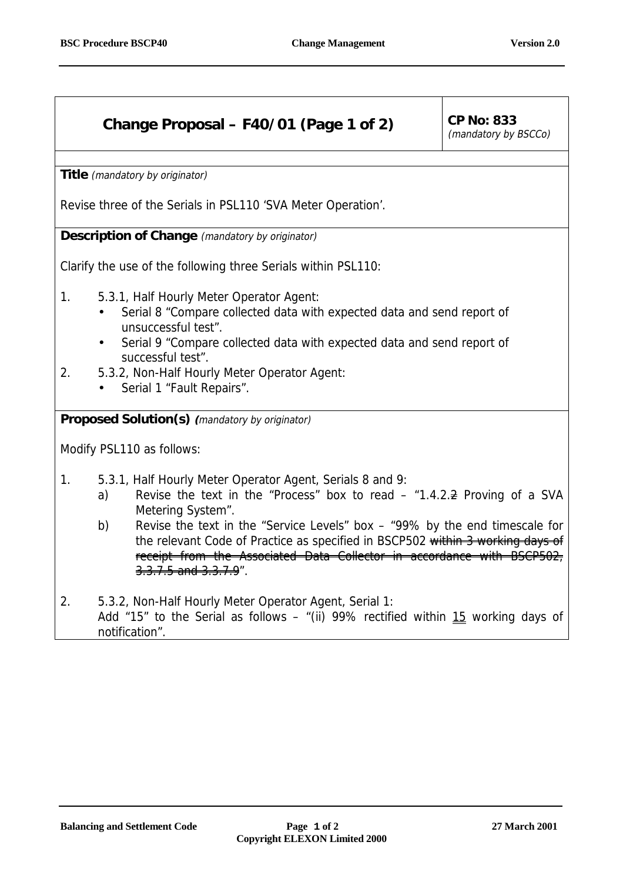## **Change Proposal – F40/01 (Page 1 of 2) CP No: 833**

(mandatory by BSCCo)

**Title** (mandatory by originator)

Revise three of the Serials in PSL110 'SVA Meter Operation'.

**Description of Change** (mandatory by originator)

Clarify the use of the following three Serials within PSL110:

- 1. 5.3.1, Half Hourly Meter Operator Agent:
	- Serial 8 "Compare collected data with expected data and send report of unsuccessful test".
	- Serial 9 "Compare collected data with expected data and send report of successful test".
- 2. 5.3.2, Non-Half Hourly Meter Operator Agent:
	- Serial 1 "Fault Repairs".

**Proposed Solution(s) (**mandatory by originator)

Modify PSL110 as follows:

- 1. 5.3.1, Half Hourly Meter Operator Agent, Serials 8 and 9:
	- a) Revise the text in the "Process" box to read  $-$  "1.4.2. $\rightleftharpoons$  Proving of a SVA Metering System".
	- b) Revise the text in the "Service Levels" box "99% by the end timescale for the relevant Code of Practice as specified in BSCP502 within 3 working days of receipt from the Associated Data Collector in accordance with BSCP502, 3.3.7.5 and 3.3.7.9".
- 2. 5.3.2, Non-Half Hourly Meter Operator Agent, Serial 1: Add "15" to the Serial as follows – "(ii) 99% rectified within 15 working days of notification".